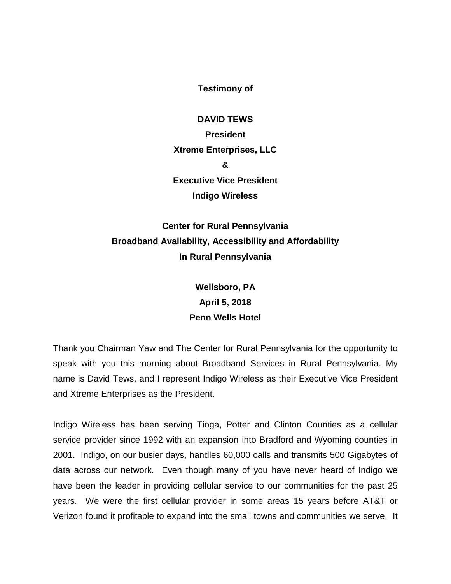**Testimony of**

## **DAVID TEWS**

**President Xtreme Enterprises, LLC & Executive Vice President Indigo Wireless**

## **Center for Rural Pennsylvania Broadband Availability, Accessibility and Affordability In Rural Pennsylvania**

## **Wellsboro, PA April 5, 2018 Penn Wells Hotel**

Thank you Chairman Yaw and The Center for Rural Pennsylvania for the opportunity to speak with you this morning about Broadband Services in Rural Pennsylvania. My name is David Tews, and I represent Indigo Wireless as their Executive Vice President and Xtreme Enterprises as the President.

Indigo Wireless has been serving Tioga, Potter and Clinton Counties as a cellular service provider since 1992 with an expansion into Bradford and Wyoming counties in 2001. Indigo, on our busier days, handles 60,000 calls and transmits 500 Gigabytes of data across our network. Even though many of you have never heard of Indigo we have been the leader in providing cellular service to our communities for the past 25 years. We were the first cellular provider in some areas 15 years before AT&T or Verizon found it profitable to expand into the small towns and communities we serve. It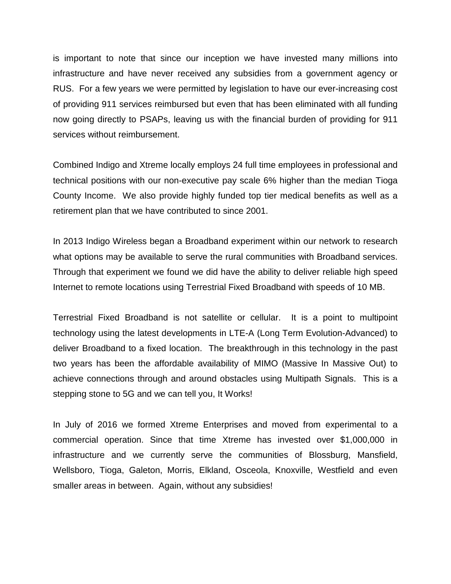is important to note that since our inception we have invested many millions into infrastructure and have never received any subsidies from a government agency or RUS. For a few years we were permitted by legislation to have our ever-increasing cost of providing 911 services reimbursed but even that has been eliminated with all funding now going directly to PSAPs, leaving us with the financial burden of providing for 911 services without reimbursement.

Combined Indigo and Xtreme locally employs 24 full time employees in professional and technical positions with our non-executive pay scale 6% higher than the median Tioga County Income. We also provide highly funded top tier medical benefits as well as a retirement plan that we have contributed to since 2001.

In 2013 Indigo Wireless began a Broadband experiment within our network to research what options may be available to serve the rural communities with Broadband services. Through that experiment we found we did have the ability to deliver reliable high speed Internet to remote locations using Terrestrial Fixed Broadband with speeds of 10 MB.

Terrestrial Fixed Broadband is not satellite or cellular. It is a point to multipoint technology using the latest developments in LTE-A (Long Term Evolution-Advanced) to deliver Broadband to a fixed location. The breakthrough in this technology in the past two years has been the affordable availability of MIMO (Massive In Massive Out) to achieve connections through and around obstacles using Multipath Signals. This is a stepping stone to 5G and we can tell you, It Works!

In July of 2016 we formed Xtreme Enterprises and moved from experimental to a commercial operation. Since that time Xtreme has invested over \$1,000,000 in infrastructure and we currently serve the communities of Blossburg, Mansfield, Wellsboro, Tioga, Galeton, Morris, Elkland, Osceola, Knoxville, Westfield and even smaller areas in between. Again, without any subsidies!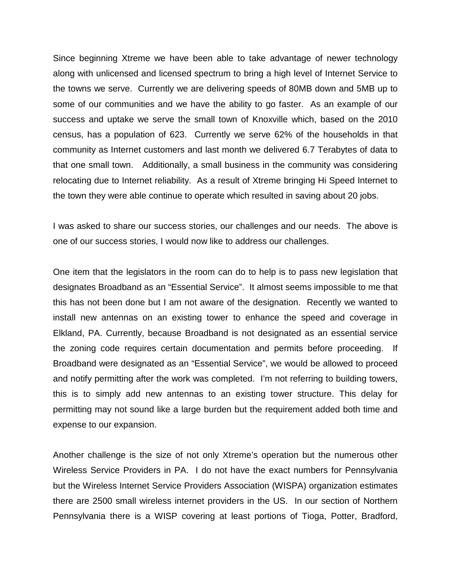Since beginning Xtreme we have been able to take advantage of newer technology along with unlicensed and licensed spectrum to bring a high level of Internet Service to the towns we serve. Currently we are delivering speeds of 80MB down and 5MB up to some of our communities and we have the ability to go faster. As an example of our success and uptake we serve the small town of Knoxville which, based on the 2010 census, has a population of 623. Currently we serve 62% of the households in that community as Internet customers and last month we delivered 6.7 Terabytes of data to that one small town. Additionally, a small business in the community was considering relocating due to Internet reliability. As a result of Xtreme bringing Hi Speed Internet to the town they were able continue to operate which resulted in saving about 20 jobs.

I was asked to share our success stories, our challenges and our needs. The above is one of our success stories, I would now like to address our challenges.

One item that the legislators in the room can do to help is to pass new legislation that designates Broadband as an "Essential Service". It almost seems impossible to me that this has not been done but I am not aware of the designation. Recently we wanted to install new antennas on an existing tower to enhance the speed and coverage in Elkland, PA. Currently, because Broadband is not designated as an essential service the zoning code requires certain documentation and permits before proceeding. If Broadband were designated as an "Essential Service", we would be allowed to proceed and notify permitting after the work was completed. I'm not referring to building towers, this is to simply add new antennas to an existing tower structure. This delay for permitting may not sound like a large burden but the requirement added both time and expense to our expansion.

Another challenge is the size of not only Xtreme's operation but the numerous other Wireless Service Providers in PA. I do not have the exact numbers for Pennsylvania but the Wireless Internet Service Providers Association (WISPA) organization estimates there are 2500 small wireless internet providers in the US. In our section of Northern Pennsylvania there is a WISP covering at least portions of Tioga, Potter, Bradford,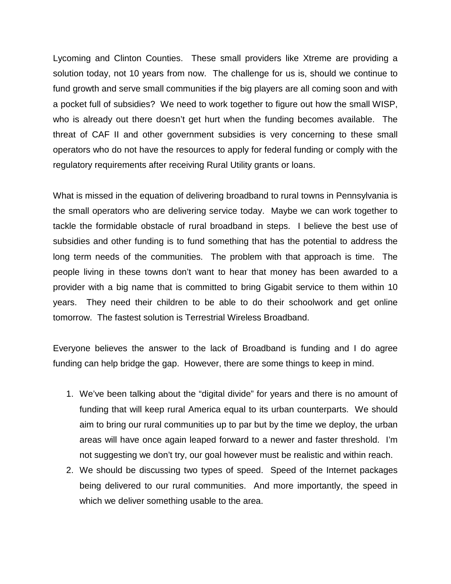Lycoming and Clinton Counties. These small providers like Xtreme are providing a solution today, not 10 years from now. The challenge for us is, should we continue to fund growth and serve small communities if the big players are all coming soon and with a pocket full of subsidies? We need to work together to figure out how the small WISP, who is already out there doesn't get hurt when the funding becomes available. The threat of CAF II and other government subsidies is very concerning to these small operators who do not have the resources to apply for federal funding or comply with the regulatory requirements after receiving Rural Utility grants or loans.

What is missed in the equation of delivering broadband to rural towns in Pennsylvania is the small operators who are delivering service today. Maybe we can work together to tackle the formidable obstacle of rural broadband in steps. I believe the best use of subsidies and other funding is to fund something that has the potential to address the long term needs of the communities. The problem with that approach is time. The people living in these towns don't want to hear that money has been awarded to a provider with a big name that is committed to bring Gigabit service to them within 10 years. They need their children to be able to do their schoolwork and get online tomorrow. The fastest solution is Terrestrial Wireless Broadband.

Everyone believes the answer to the lack of Broadband is funding and I do agree funding can help bridge the gap. However, there are some things to keep in mind.

- 1. We've been talking about the "digital divide" for years and there is no amount of funding that will keep rural America equal to its urban counterparts. We should aim to bring our rural communities up to par but by the time we deploy, the urban areas will have once again leaped forward to a newer and faster threshold. I'm not suggesting we don't try, our goal however must be realistic and within reach.
- 2. We should be discussing two types of speed. Speed of the Internet packages being delivered to our rural communities. And more importantly, the speed in which we deliver something usable to the area.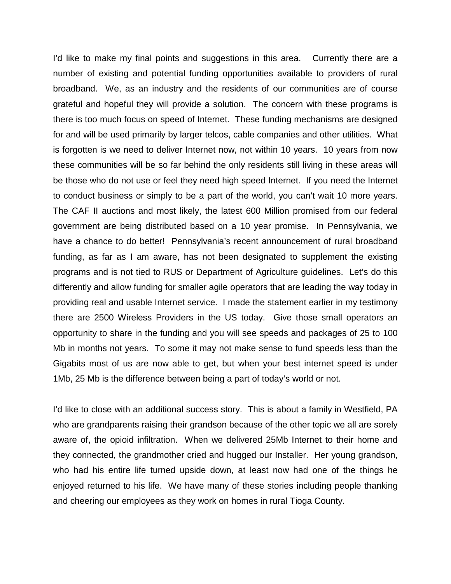I'd like to make my final points and suggestions in this area. Currently there are a number of existing and potential funding opportunities available to providers of rural broadband. We, as an industry and the residents of our communities are of course grateful and hopeful they will provide a solution. The concern with these programs is there is too much focus on speed of Internet. These funding mechanisms are designed for and will be used primarily by larger telcos, cable companies and other utilities. What is forgotten is we need to deliver Internet now, not within 10 years. 10 years from now these communities will be so far behind the only residents still living in these areas will be those who do not use or feel they need high speed Internet. If you need the Internet to conduct business or simply to be a part of the world, you can't wait 10 more years. The CAF II auctions and most likely, the latest 600 Million promised from our federal government are being distributed based on a 10 year promise. In Pennsylvania, we have a chance to do better! Pennsylvania's recent announcement of rural broadband funding, as far as I am aware, has not been designated to supplement the existing programs and is not tied to RUS or Department of Agriculture guidelines. Let's do this differently and allow funding for smaller agile operators that are leading the way today in providing real and usable Internet service. I made the statement earlier in my testimony there are 2500 Wireless Providers in the US today. Give those small operators an opportunity to share in the funding and you will see speeds and packages of 25 to 100 Mb in months not years. To some it may not make sense to fund speeds less than the Gigabits most of us are now able to get, but when your best internet speed is under 1Mb, 25 Mb is the difference between being a part of today's world or not.

I'd like to close with an additional success story. This is about a family in Westfield, PA who are grandparents raising their grandson because of the other topic we all are sorely aware of, the opioid infiltration. When we delivered 25Mb Internet to their home and they connected, the grandmother cried and hugged our Installer. Her young grandson, who had his entire life turned upside down, at least now had one of the things he enjoyed returned to his life. We have many of these stories including people thanking and cheering our employees as they work on homes in rural Tioga County.